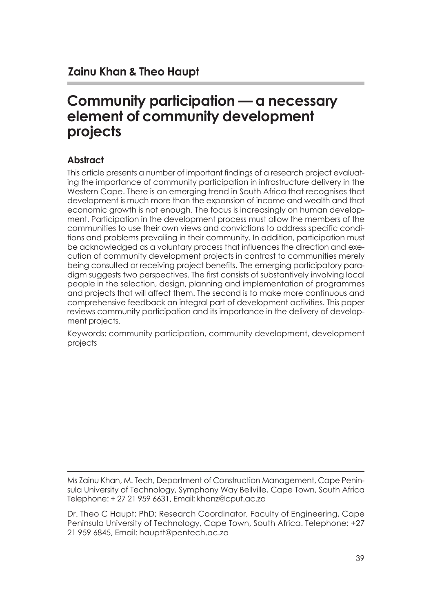# **Community participation — a necessary element of community development projects**

#### **Abstract**

This article presents a number of important findings of a research project evaluating the importance of community participation in infrastructure delivery in the Western Cape. There is an emerging trend in South Africa that recognises that development is much more than the expansion of income and wealth and that economic growth is not enough. The focus is increasingly on human development. Participation in the development process must allow the members of the communities to use their own views and convictions to address specific conditions and problems prevailing in their community. In addition, participation must be acknowledged as a voluntary process that influences the direction and execution of community development projects in contrast to communities merely being consulted or receiving project benefits. The emerging participatory paradigm suggests two perspectives. The first consists of substantively involving local people in the selection, design, planning and implementation of programmes and projects that will affect them. The second is to make more continuous and comprehensive feedback an integral part of development activities. This paper reviews community participation and its importance in the delivery of development projects.

Keywords: community participation, community development, development projects

Ms Zainu Khan, M. Tech, Department of Construction Management, Cape Peninsula University of Technology, Symphony Way Bellville, Cape Town, South Africa Telephone: + 27 21 959 6631, Email: khanz@cput.ac.za

Dr. Theo C Haupt; PhD; Research Coordinator, Faculty of Engineering, Cape Peninsula University of Technology, Cape Town, South Africa. Telephone: +27 21 959 6845, Email: hauptt@pentech.ac.za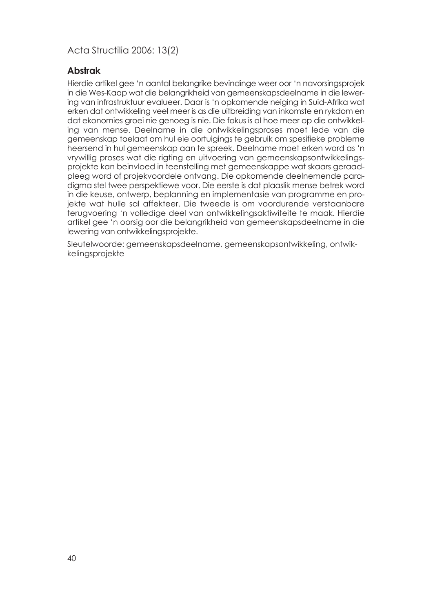#### **Abstrak**

Hierdie artikel gee 'n aantal belangrike bevindinge weer oor 'n navorsingsprojek in die Wes-Kaap wat die belangrikheid van gemeenskapsdeelname in die lewering van infrastruktuur evalueer. Daar is 'n opkomende neiging in Suid-Afrika wat erken dat ontwikkeling veel meer is as die uitbreiding van inkomste en rykdom en dat ekonomies groei nie genoeg is nie. Die fokus is al hoe meer op die ontwikkeling van mense. Deelname in die ontwikkelingsproses moet lede van die gemeenskap toelaat om hul eie oortuigings te gebruik om spesifieke probleme heersend in hul gemeenskap aan te spreek. Deelname moet erken word as 'n vrywillig proses wat die rigting en uitvoering van gemeenskapsontwikkelingsprojekte kan beinvloed in teenstelling met gemeenskappe wat skaars geraadpleeg word of projekvoordele ontvang. Die opkomende deelnemende paradigma stel twee perspektiewe voor. Die eerste is dat plaaslik mense betrek word in die keuse, ontwerp, beplanning en implementasie van programme en projekte wat hulle sal affekteer. Die tweede is om voordurende verstaanbare terugvoering 'n volledige deel van ontwikkelingsaktiwiteite te maak. Hierdie artikel gee 'n oorsig oor die belangrikheid van gemeenskapsdeelname in die lewering van ontwikkelingsprojekte.

Sleutelwoorde: gemeenskapsdeelname, gemeenskapsontwikkeling, ontwikkelingsprojekte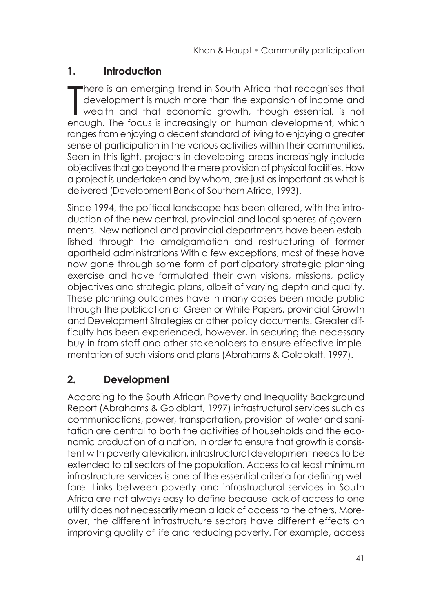### **1. Introduction**

There is an emerging trend in South Africa that recognises that<br>development is much more than the expansion of income and<br>wealth and that economic growth, though essential, is not<br>provide the focus is incomerisely on human here is an emerging trend in South Africa that recognises that development is much more than the expansion of income and enough. The focus is increasingly on human development, which ranges from enjoying a decent standard of living to enjoying a greater sense of participation in the various activities within their communities. Seen in this light, projects in developing areas increasingly include objectives that go beyond the mere provision of physical facilities. How a project is undertaken and by whom, are just as important as what is delivered (Development Bank of Southern Africa, 1993).

Since 1994, the political landscape has been altered, with the introduction of the new central, provincial and local spheres of governments. New national and provincial departments have been established through the amalgamation and restructuring of former apartheid administrations With a few exceptions, most of these have now gone through some form of participatory strategic planning exercise and have formulated their own visions, missions, policy objectives and strategic plans, albeit of varying depth and quality. These planning outcomes have in many cases been made public through the publication of Green or White Papers, provincial Growth and Development Strategies or other policy documents. Greater difficulty has been experienced, however, in securing the necessary buy-in from staff and other stakeholders to ensure effective implementation of such visions and plans (Abrahams & Goldblatt, 1997).

# **2. Development**

According to the South African Poverty and Inequality Background Report (Abrahams & Goldblatt, 1997) infrastructural services such as communications, power, transportation, provision of water and sanitation are central to both the activities of households and the economic production of a nation. In order to ensure that growth is consistent with poverty alleviation, infrastructural development needs to be extended to all sectors of the population. Access to at least minimum infrastructure services is one of the essential criteria for defining welfare. Links between poverty and infrastructural services in South Africa are not always easy to define because lack of access to one utility does not necessarily mean a lack of access to the others. Moreover, the different infrastructure sectors have different effects on improving quality of life and reducing poverty. For example, access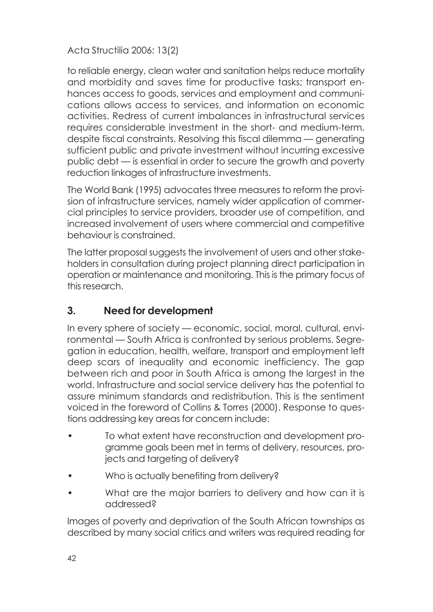to reliable energy, clean water and sanitation helps reduce mortality and morbidity and saves time for productive tasks; transport enhances access to goods, services and employment and communications allows access to services, and information on economic activities. Redress of current imbalances in infrastructural services requires considerable investment in the short- and medium-term, despite fiscal constraints. Resolving this fiscal dilemma — generating sufficient public and private investment without incurring excessive public debt — is essential in order to secure the growth and poverty reduction linkages of infrastructure investments.

The World Bank (1995) advocates three measures to reform the provision of infrastructure services, namely wider application of commercial principles to service providers, broader use of competition, and increased involvement of users where commercial and competitive behaviour is constrained.

The latter proposal suggests the involvement of users and other stakeholders in consultation during project planning direct participation in operation or maintenance and monitoring. This is the primary focus of this research.

# **3. Need for development**

In every sphere of society — economic, social, moral, cultural, environmental — South Africa is confronted by serious problems. Segregation in education, health, welfare, transport and employment left deep scars of inequality and economic inefficiency. The gap between rich and poor in South Africa is among the largest in the world. Infrastructure and social service delivery has the potential to assure minimum standards and redistribution. This is the sentiment voiced in the foreword of Collins & Torres (2000). Response to questions addressing key areas for concern include:

- To what extent have reconstruction and development programme goals been met in terms of delivery, resources, projects and targeting of delivery?
- Who is actually benefiting from delivery?
- What are the major barriers to delivery and how can it is addressed?

Images of poverty and deprivation of the South African townships as described by many social critics and writers was required reading for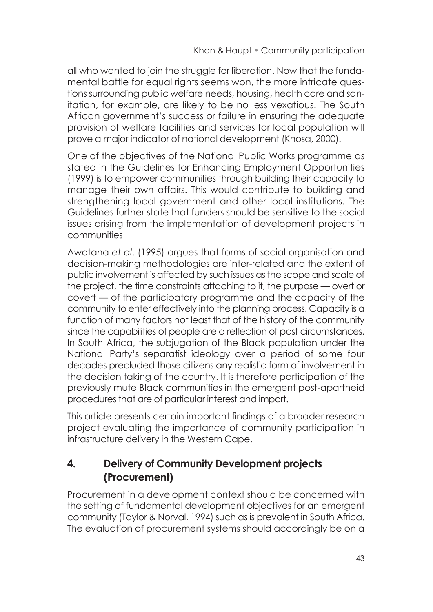all who wanted to join the struggle for liberation. Now that the fundamental battle for equal rights seems won, the more intricate questions surrounding public welfare needs, housing, health care and sanitation, for example, are likely to be no less vexatious. The South African government's success or failure in ensuring the adequate provision of welfare facilities and services for local population will prove a major indicator of national development (Khosa, 2000).

One of the objectives of the National Public Works programme as stated in the Guidelines for Enhancing Employment Opportunities (1999) is to empower communities through building their capacity to manage their own affairs. This would contribute to building and strengthening local government and other local institutions. The Guidelines further state that funders should be sensitive to the social issues arising from the implementation of development projects in communities

Awotana *et al*. (1995) argues that forms of social organisation and decision-making methodologies are inter-related and the extent of public involvement is affected by such issues as the scope and scale of the project, the time constraints attaching to it, the purpose — overt or covert — of the participatory programme and the capacity of the community to enter effectively into the planning process. Capacity is a function of many factors not least that of the history of the community since the capabilities of people are a reflection of past circumstances. In South Africa, the subjugation of the Black population under the National Party's separatist ideology over a period of some four decades precluded those citizens any realistic form of involvement in the decision taking of the country. It is therefore participation of the previously mute Black communities in the emergent post-apartheid procedures that are of particular interest and import.

This article presents certain important findings of a broader research project evaluating the importance of community participation in infrastructure delivery in the Western Cape.

# **4. Delivery of Community Development projects (Procurement)**

Procurement in a development context should be concerned with the setting of fundamental development objectives for an emergent community (Taylor & Norval, 1994) such as is prevalent in South Africa. The evaluation of procurement systems should accordingly be on a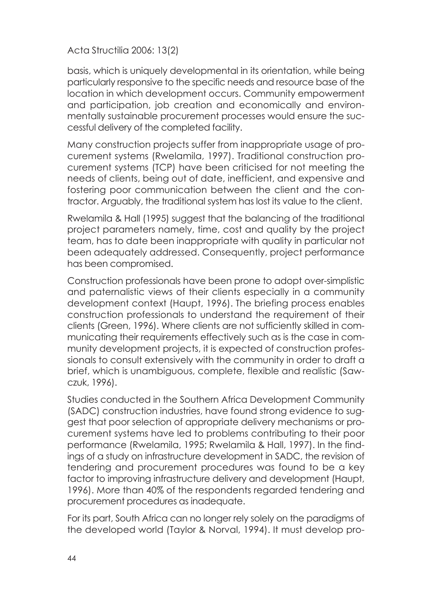basis, which is uniquely developmental in its orientation, while being particularly responsive to the specific needs and resource base of the location in which development occurs. Community empowerment and participation, job creation and economically and environmentally sustainable procurement processes would ensure the successful delivery of the completed facility.

Many construction projects suffer from inappropriate usage of procurement systems (Rwelamila, 1997). Traditional construction procurement systems (TCP) have been criticised for not meeting the needs of clients, being out of date, inefficient, and expensive and fostering poor communication between the client and the contractor. Arguably, the traditional system has lost its value to the client.

Rwelamila & Hall (1995) suggest that the balancing of the traditional project parameters namely, time, cost and quality by the project team, has to date been inappropriate with quality in particular not been adequately addressed. Consequently, project performance has been compromised.

Construction professionals have been prone to adopt over-simplistic and paternalistic views of their clients especially in a community development context (Haupt, 1996). The briefing process enables construction professionals to understand the requirement of their clients (Green, 1996). Where clients are not sufficiently skilled in communicating their requirements effectively such as is the case in community development projects, it is expected of construction professionals to consult extensively with the community in order to draft a brief, which is unambiguous, complete, flexible and realistic (Sawczuk, 1996).

Studies conducted in the Southern Africa Development Community (SADC) construction industries, have found strong evidence to suggest that poor selection of appropriate delivery mechanisms or procurement systems have led to problems contributing to their poor performance (Rwelamila, 1995; Rwelamila & Hall, 1997). In the findings of a study on infrastructure development in SADC, the revision of tendering and procurement procedures was found to be a key factor to improving infrastructure delivery and development (Haupt, 1996). More than 40% of the respondents regarded tendering and procurement procedures as inadequate.

For its part, South Africa can no longer rely solely on the paradigms of the developed world (Taylor & Norval, 1994). It must develop pro-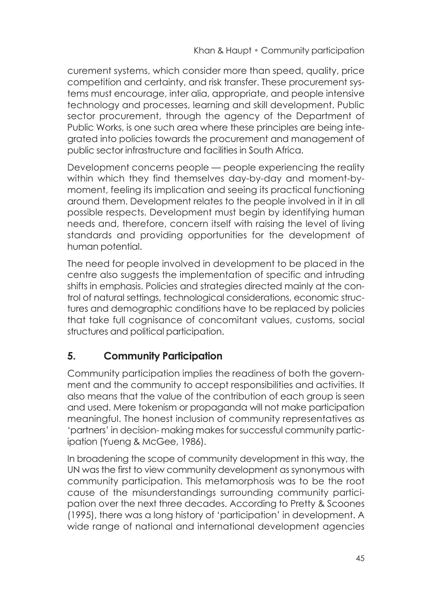curement systems, which consider more than speed, quality, price competition and certainty, and risk transfer. These procurement systems must encourage, inter alia, appropriate, and people intensive technology and processes, learning and skill development. Public sector procurement, through the agency of the Department of Public Works, is one such area where these principles are being integrated into policies towards the procurement and management of public sector infrastructure and facilities in South Africa.

Development concerns people — people experiencing the reality within which they find themselves day-by-day and moment-bymoment, feeling its implication and seeing its practical functioning around them. Development relates to the people involved in it in all possible respects. Development must begin by identifying human needs and, therefore, concern itself with raising the level of living standards and providing opportunities for the development of human potential.

The need for people involved in development to be placed in the centre also suggests the implementation of specific and intruding shifts in emphasis. Policies and strategies directed mainly at the control of natural settings, technological considerations, economic structures and demographic conditions have to be replaced by policies that take full cognisance of concomitant values, customs, social structures and political participation.

# **5. Community Participation**

Community participation implies the readiness of both the government and the community to accept responsibilities and activities. It also means that the value of the contribution of each group is seen and used. Mere tokenism or propaganda will not make participation meaningful. The honest inclusion of community representatives as 'partners' in decision- making makes for successful community participation (Yueng & McGee, 1986).

In broadening the scope of community development in this way, the UN was the first to view community development as synonymous with community participation. This metamorphosis was to be the root cause of the misunderstandings surrounding community participation over the next three decades. According to Pretty & Scoones (1995), there was a long history of 'participation' in development. A wide range of national and international development agencies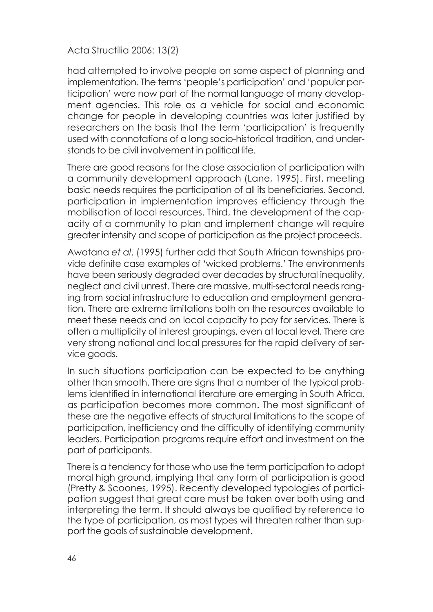had attempted to involve people on some aspect of planning and implementation. The terms 'people's participation' and 'popular participation' were now part of the normal language of many development agencies. This role as a vehicle for social and economic change for people in developing countries was later justified by researchers on the basis that the term 'participation' is frequently used with connotations of a long socio-historical tradition, and understands to be civil involvement in political life.

There are good reasons for the close association of participation with a community development approach (Lane, 1995). First, meeting basic needs requires the participation of all its beneficiaries. Second, participation in implementation improves efficiency through the mobilisation of local resources. Third, the development of the capacity of a community to plan and implement change will require greater intensity and scope of participation as the project proceeds.

Awotana *et al*. (1995) further add that South African townships provide definite case examples of 'wicked problems.' The environments have been seriously degraded over decades by structural inequality, neglect and civil unrest. There are massive, multi-sectoral needs ranging from social infrastructure to education and employment generation. There are extreme limitations both on the resources available to meet these needs and on local capacity to pay for services. There is often a multiplicity of interest groupings, even at local level. There are very strong national and local pressures for the rapid delivery of service goods.

In such situations participation can be expected to be anything other than smooth. There are signs that a number of the typical problems identified in international literature are emerging in South Africa, as participation becomes more common. The most significant of these are the negative effects of structural limitations to the scope of participation, inefficiency and the difficulty of identifying community leaders. Participation programs require effort and investment on the part of participants.

There is a tendency for those who use the term participation to adopt moral high ground, implying that any form of participation is good (Pretty & Scoones, 1995). Recently developed typologies of participation suggest that great care must be taken over both using and interpreting the term. It should always be qualified by reference to the type of participation, as most types will threaten rather than support the goals of sustainable development.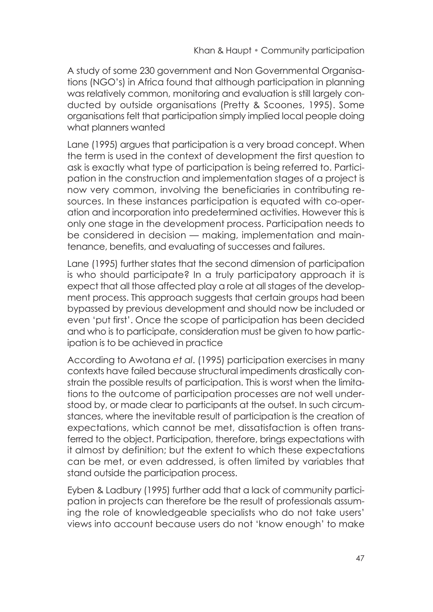A study of some 230 government and Non Governmental Organisations (NGO's) in Africa found that although participation in planning was relatively common, monitoring and evaluation is still largely conducted by outside organisations (Pretty & Scoones, 1995). Some organisations felt that participation simply implied local people doing what planners wanted

Lane (1995) argues that participation is a very broad concept. When the term is used in the context of development the first question to ask is exactly what type of participation is being referred to. Participation in the construction and implementation stages of a project is now very common, involving the beneficiaries in contributing resources. In these instances participation is equated with co-operation and incorporation into predetermined activities. However this is only one stage in the development process. Participation needs to be considered in decision — making, implementation and maintenance, benefits, and evaluating of successes and failures.

Lane (1995) further states that the second dimension of participation is who should participate? In a truly participatory approach it is expect that all those affected play a role at all stages of the development process. This approach suggests that certain groups had been bypassed by previous development and should now be included or even 'put first'. Once the scope of participation has been decided and who is to participate, consideration must be given to how participation is to be achieved in practice

According to Awotana *et al*. (1995) participation exercises in many contexts have failed because structural impediments drastically constrain the possible results of participation. This is worst when the limitations to the outcome of participation processes are not well understood by, or made clear to participants at the outset. In such circumstances, where the inevitable result of participation is the creation of expectations, which cannot be met, dissatisfaction is often transferred to the object. Participation, therefore, brings expectations with it almost by definition; but the extent to which these expectations can be met, or even addressed, is often limited by variables that stand outside the participation process.

Eyben & Ladbury (1995) further add that a lack of community participation in projects can therefore be the result of professionals assuming the role of knowledgeable specialists who do not take users' views into account because users do not 'know enough' to make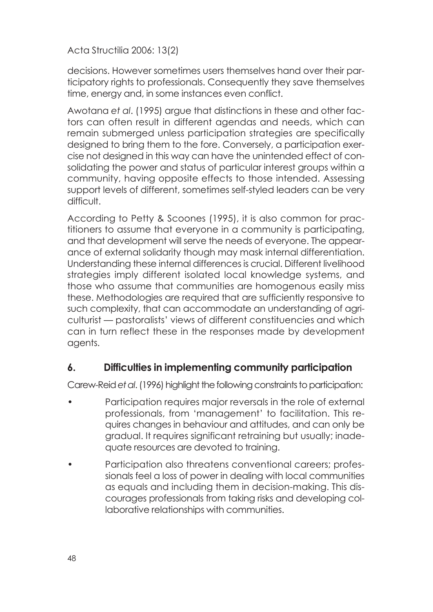decisions. However sometimes users themselves hand over their participatory rights to professionals. Consequently they save themselves time, energy and, in some instances even conflict.

Awotana *et al*. (1995) argue that distinctions in these and other factors can often result in different agendas and needs, which can remain submerged unless participation strategies are specifically designed to bring them to the fore. Conversely, a participation exercise not designed in this way can have the unintended effect of consolidating the power and status of particular interest groups within a community, having opposite effects to those intended. Assessing support levels of different, sometimes self-styled leaders can be very difficult.

According to Petty & Scoones (1995), it is also common for practitioners to assume that everyone in a community is participating, and that development will serve the needs of everyone. The appearance of external solidarity though may mask internal differentiation. Understanding these internal differences is crucial. Different livelihood strategies imply different isolated local knowledge systems, and those who assume that communities are homogenous easily miss these. Methodologies are required that are sufficiently responsive to such complexity, that can accommodate an understanding of agriculturist — pastoralists' views of different constituencies and which can in turn reflect these in the responses made by development agents.

### **6. Difficulties in implementing community participation**

Carew-Reid *et al*. (1996) highlight the following constraints to participation:

- Participation requires major reversals in the role of external professionals, from 'management' to facilitation. This requires changes in behaviour and attitudes, and can only be gradual. It requires significant retraining but usually; inadequate resources are devoted to training.
- Participation also threatens conventional careers; professionals feel a loss of power in dealing with local communities as equals and including them in decision-making. This discourages professionals from taking risks and developing collaborative relationships with communities.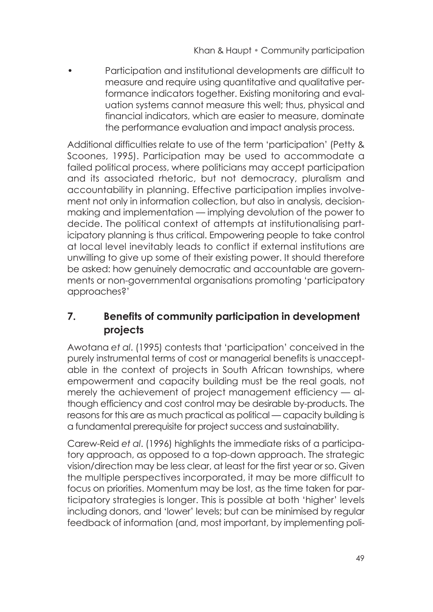• Participation and institutional developments are difficult to measure and require using quantitative and qualitative performance indicators together. Existing monitoring and evaluation systems cannot measure this well; thus, physical and financial indicators, which are easier to measure, dominate the performance evaluation and impact analysis process.

Additional difficulties relate to use of the term 'participation' (Petty & Scoones, 1995). Participation may be used to accommodate a failed political process, where politicians may accept participation and its associated rhetoric, but not democracy, pluralism and accountability in planning. Effective participation implies involvement not only in information collection, but also in analysis, decisionmaking and implementation — implying devolution of the power to decide. The political context of attempts at institutionalising participatory planning is thus critical. Empowering people to take control at local level inevitably leads to conflict if external institutions are unwilling to give up some of their existing power. It should therefore be asked: how genuinely democratic and accountable are governments or non-governmental organisations promoting 'participatory approaches?'

# **7. Benefits of community participation in development projects**

Awotana *et al*. (1995) contests that 'participation' conceived in the purely instrumental terms of cost or managerial benefits is unacceptable in the context of projects in South African townships, where empowerment and capacity building must be the real goals, not merely the achievement of project management efficiency — although efficiency and cost control may be desirable by-products. The reasons for this are as much practical as political — capacity building is a fundamental prerequisite for project success and sustainability.

Carew-Reid *et al*. (1996) highlights the immediate risks of a participatory approach, as opposed to a top-down approach. The strategic vision/direction may be less clear, at least for the first year or so. Given the multiple perspectives incorporated, it may be more difficult to focus on priorities. Momentum may be lost, as the time taken for participatory strategies is longer. This is possible at both 'higher' levels including donors, and 'lower' levels; but can be minimised by regular feedback of information (and, most important, by implementing poli-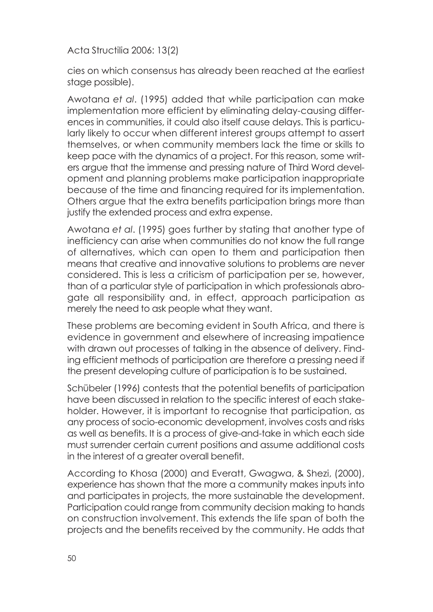cies on which consensus has already been reached at the earliest stage possible).

Awotana *et al*. (1995) added that while participation can make implementation more efficient by eliminating delay-causing differences in communities, it could also itself cause delays. This is particularly likely to occur when different interest groups attempt to assert themselves, or when community members lack the time or skills to keep pace with the dynamics of a project. For this reason, some writers argue that the immense and pressing nature of Third Word development and planning problems make participation inappropriate because of the time and financing required for its implementation. Others argue that the extra benefits participation brings more than justify the extended process and extra expense.

Awotana *et al*. (1995) goes further by stating that another type of inefficiency can arise when communities do not know the full range of alternatives, which can open to them and participation then means that creative and innovative solutions to problems are never considered. This is less a criticism of participation per se, however, than of a particular style of participation in which professionals abrogate all responsibility and, in effect, approach participation as merely the need to ask people what they want.

These problems are becoming evident in South Africa, and there is evidence in government and elsewhere of increasing impatience with drawn out processes of talking in the absence of delivery. Finding efficient methods of participation are therefore a pressing need if the present developing culture of participation is to be sustained.

Schübeler (1996) contests that the potential benefits of participation have been discussed in relation to the specific interest of each stakeholder. However, it is important to recognise that participation, as any process of socio-economic development, involves costs and risks as well as benefits. It is a process of give-and-take in which each side must surrender certain current positions and assume additional costs in the interest of a greater overall benefit.

According to Khosa (2000) and Everatt, Gwagwa, & Shezi, (2000), experience has shown that the more a community makes inputs into and participates in projects, the more sustainable the development. Participation could range from community decision making to hands on construction involvement. This extends the life span of both the projects and the benefits received by the community. He adds that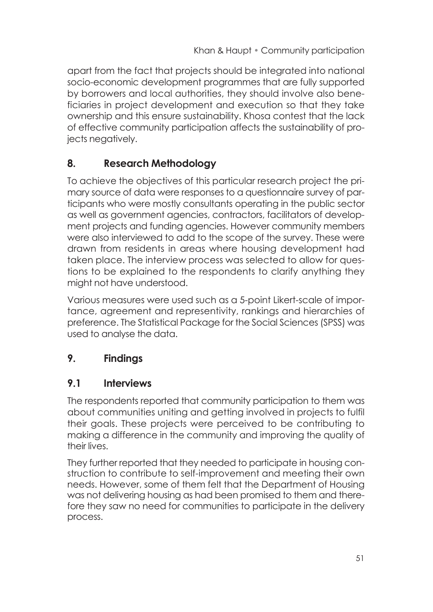apart from the fact that projects should be integrated into national socio-economic development programmes that are fully supported by borrowers and local authorities, they should involve also beneficiaries in project development and execution so that they take ownership and this ensure sustainability. Khosa contest that the lack of effective community participation affects the sustainability of projects negatively.

# **8. Research Methodology**

To achieve the objectives of this particular research project the primary source of data were responses to a questionnaire survey of participants who were mostly consultants operating in the public sector as well as government agencies, contractors, facilitators of development projects and funding agencies. However community members were also interviewed to add to the scope of the survey. These were drawn from residents in areas where housing development had taken place. The interview process was selected to allow for questions to be explained to the respondents to clarify anything they might not have understood.

Various measures were used such as a 5-point Likert-scale of importance, agreement and representivity, rankings and hierarchies of preference. The Statistical Package for the Social Sciences (SPSS) was used to analyse the data.

# **9. Findings**

### **9.1 Interviews**

The respondents reported that community participation to them was about communities uniting and getting involved in projects to fulfil their goals. These projects were perceived to be contributing to making a difference in the community and improving the quality of their lives.

They further reported that they needed to participate in housing construction to contribute to self-improvement and meeting their own needs. However, some of them felt that the Department of Housing was not delivering housing as had been promised to them and therefore they saw no need for communities to participate in the delivery process.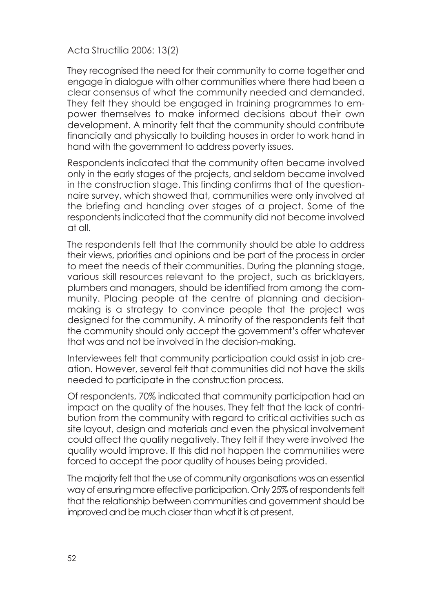They recognised the need for their community to come together and engage in dialogue with other communities where there had been a clear consensus of what the community needed and demanded. They felt they should be engaged in training programmes to empower themselves to make informed decisions about their own development. A minority felt that the community should contribute financially and physically to building houses in order to work hand in hand with the government to address poverty issues.

Respondents indicated that the community often became involved only in the early stages of the projects, and seldom became involved in the construction stage. This finding confirms that of the questionnaire survey, which showed that, communities were only involved at the briefing and handing over stages of a project. Some of the respondents indicated that the community did not become involved at all.

The respondents felt that the community should be able to address their views, priorities and opinions and be part of the process in order to meet the needs of their communities. During the planning stage, various skill resources relevant to the project, such as bricklayers, plumbers and managers, should be identified from among the community. Placing people at the centre of planning and decisionmaking is a strategy to convince people that the project was designed for the community. A minority of the respondents felt that the community should only accept the government's offer whatever that was and not be involved in the decision-making.

Interviewees felt that community participation could assist in job creation. However, several felt that communities did not have the skills needed to participate in the construction process.

Of respondents, 70% indicated that community participation had an impact on the quality of the houses. They felt that the lack of contribution from the community with regard to critical activities such as site layout, design and materials and even the physical involvement could affect the quality negatively. They felt if they were involved the quality would improve. If this did not happen the communities were forced to accept the poor quality of houses being provided.

The majority felt that the use of community organisations was an essential way of ensuring more effective participation. Only 25% of respondents felt that the relationship between communities and government should be improved and be much closer than what it is at present.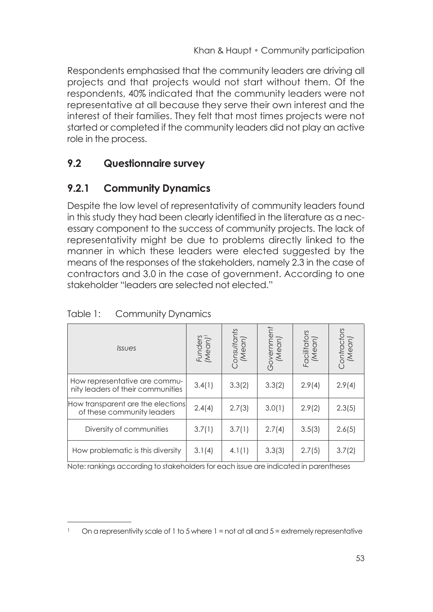Respondents emphasised that the community leaders are driving all projects and that projects would not start without them. Of the respondents, 40% indicated that the community leaders were not representative at all because they serve their own interest and the interest of their families. They felt that most times projects were not started or completed if the community leaders did not play an active role in the process.

# **9.2 Questionnaire survey**

# **9.2.1 Community Dynamics**

Despite the low level of representativity of community leaders found in this study they had been clearly identified in the literature as a necessary component to the success of community projects. The lack of representativity might be due to problems directly linked to the manner in which these leaders were elected suggested by the means of the responses of the stakeholders, namely 2.3 in the case of contractors and 3.0 in the case of government. According to one stakeholder "leaders are selected not elected."

| <i><u><b>Issues</b></u></i>                                        | Funders<br>(Mean) <sup>1</sup> | Consultants<br>(Mean) | Government<br>(Mean) | Facilitators<br>(Mean) | `ontractors<br>(Mean) |
|--------------------------------------------------------------------|--------------------------------|-----------------------|----------------------|------------------------|-----------------------|
| How representative are commu-<br>nity leaders of their communities | 3.4(1)                         | 3.3(2)                | 3.3(2)               | 2.9(4)                 | 2.9(4)                |
| How transparent are the elections<br>of these community leaders    | 2.4(4)                         | 2.7(3)                | 3.0(1)               | 2.9(2)                 | 2.3(5)                |
| Diversity of communities                                           | 3.7(1)                         | 3.7(1)                | 2.7(4)               | 3.5(3)                 | 2.6(5)                |
| How problematic is this diversity                                  | 3.1(4)                         | 4.1(1)                | 3.3(3)               | 2.7(5)                 | 3.7(2)                |

#### Table 1: Community Dynamics

Note: rankings according to stakeholders for each issue are indicated in parentheses

On a representivity scale of 1 to 5 where  $1 =$  not at all and  $5 =$  extremely representative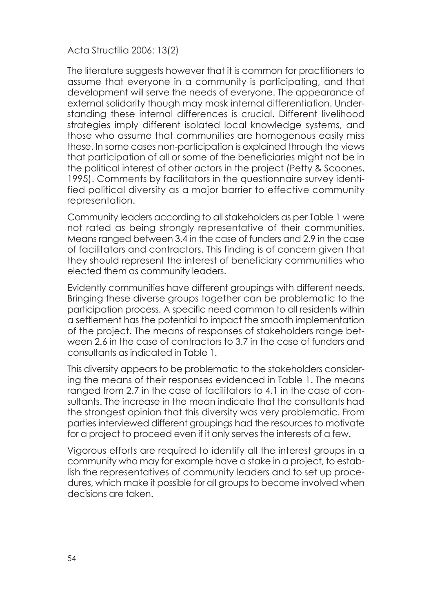The literature suggests however that it is common for practitioners to assume that everyone in a community is participating, and that development will serve the needs of everyone. The appearance of external solidarity though may mask internal differentiation. Understanding these internal differences is crucial. Different livelihood strategies imply different isolated local knowledge systems, and those who assume that communities are homogenous easily miss these. In some cases non-participation is explained through the views that participation of all or some of the beneficiaries might not be in the political interest of other actors in the project (Petty & Scoones, 1995). Comments by facilitators in the questionnaire survey identified political diversity as a major barrier to effective community representation.

Community leaders according to all stakeholders as per Table 1 were not rated as being strongly representative of their communities. Means ranged between 3.4 in the case of funders and 2.9 in the case of facilitators and contractors. This finding is of concern given that they should represent the interest of beneficiary communities who elected them as community leaders.

Evidently communities have different groupings with different needs. Bringing these diverse groups together can be problematic to the participation process. A specific need common to all residents within a settlement has the potential to impact the smooth implementation of the project. The means of responses of stakeholders range between 2.6 in the case of contractors to 3.7 in the case of funders and consultants as indicated in Table 1.

This diversity appears to be problematic to the stakeholders considering the means of their responses evidenced in Table 1. The means ranged from 2.7 in the case of facilitators to 4.1 in the case of consultants. The increase in the mean indicate that the consultants had the strongest opinion that this diversity was very problematic. From parties interviewed different groupings had the resources to motivate for a project to proceed even if it only serves the interests of a few.

Vigorous efforts are required to identify all the interest groups in a community who may for example have a stake in a project, to establish the representatives of community leaders and to set up procedures, which make it possible for all groups to become involved when decisions are taken.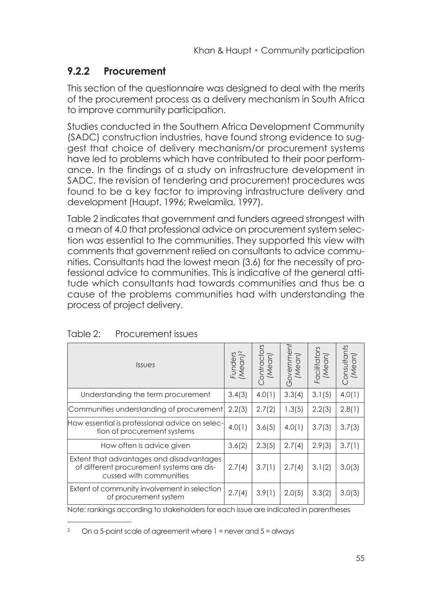# **9.2.2 Procurement**

This section of the questionnaire was designed to deal with the merits of the procurement process as a delivery mechanism in South Africa to improve community participation.

Studies conducted in the Southern Africa Development Community (SADC) construction industries, have found strong evidence to suggest that choice of delivery mechanism/or procurement systems have led to problems which have contributed to their poor performance. In the findings of a study on infrastructure development in SADC, the revision of tendering and procurement procedures was found to be a key factor to improving infrastructure delivery and development (Haupt, 1996; Rwelamila, 1997).

Table 2 indicates that government and funders agreed strongest with a mean of 4.0 that professional advice on procurement system selection was essential to the communities. They supported this view with comments that government relied on consultants to advice communities. Consultants had the lowest mean (3.6) for the necessity of professional advice to communities. This is indicative of the general attitude which consultants had towards communities and thus be a cause of the problems communities had with understanding the process of project delivery.

| <b>Issues</b>                                                                                                    | Funders<br>(Mean) <sup>2</sup> | Contractors<br>(Mean) | Government<br>(Mean) | Facilitators<br>(Mean) | Consultants<br>(Mean) |
|------------------------------------------------------------------------------------------------------------------|--------------------------------|-----------------------|----------------------|------------------------|-----------------------|
| Understanding the term procurement                                                                               | 3.4(3)                         | 4.0(1)                | 3.3(4)               | 3.1(5)                 | 4.0(1)                |
| Communities understanding of procurement                                                                         | 2.2(3)                         | 2.7(2)                | 1.3(5)               | 2.2(3)                 | 2.8(1)                |
| How essential is professional advice on selec-<br>tion of procurement systems                                    | 4.0(1)                         | 3.6(5)                | 4.0(1)               | 3.7(3)                 | 3.7(3)                |
| How often is advice given                                                                                        | 3.6(2)                         | 2.3(5)                | 2.7(4)               | 2.9(3)                 | 3.7(1)                |
| Extent that advantages and disadvantages<br>of different procurement systems are dis-<br>cussed with communities | 2.7(4)                         | 3.7(1)                | 2.7(4)               | 3.1(2)                 | 3.0(3)                |
| Extent of community involvement in selection<br>of procurement system                                            | 2.7(4)                         | 3.9(1)                | 2.0(5)               | 3.3(2)                 | 3.0(3)                |

Note: rankings according to stakeholders for each issue are indicated in parentheses

On a 5-point scale of agreement where  $1$  = never and  $5$  = always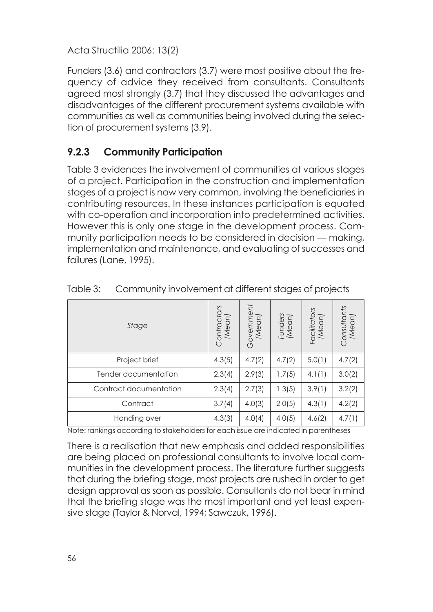Funders (3.6) and contractors (3.7) were most positive about the frequency of advice they received from consultants. Consultants agreed most strongly (3.7) that they discussed the advantages and disadvantages of the different procurement systems available with communities as well as communities being involved during the selection of procurement systems (3.9).

# **9.2.3 Community Participation**

Table 3 evidences the involvement of communities at various stages of a project. Participation in the construction and implementation stages of a project is now very common, involving the beneficiaries in contributing resources. In these instances participation is equated with co-operation and incorporation into predetermined activities. However this is only one stage in the development process. Community participation needs to be considered in decision — making, implementation and maintenance, and evaluating of successes and failures (Lane, 1995).

| Stage                  | Contractors<br>(Mean) | Government<br>(Mean) | Funders<br>(Mean) | Facilitators<br>(Mean) | Consultants<br>(Mean) |
|------------------------|-----------------------|----------------------|-------------------|------------------------|-----------------------|
| Project brief          | 4.3(5)                | 4.7(2)               | 4.7(2)            | 5.0(1)                 | 4.7(2)                |
| Tender documentation   | 2.3(4)                | 2.9(3)               | 1.7(5)            | 4.1(1)                 | 3.0(2)                |
| Contract documentation | 2.3(4)                | 2.7(3)               | 13(5)             | 3.9(1)                 | 3.2(2)                |
| Contract               | 3.7(4)                | 4.0(3)               | 20(5)             | 4.3(1)                 | 4.2(2)                |
| Handing over           | 4.3(3)                | 4.0(4)               | 40(5)             | 4.6(2)                 | 4.7(1)                |

| Table 3: |  |  | Community involvement at different stages of projects |  |
|----------|--|--|-------------------------------------------------------|--|
|----------|--|--|-------------------------------------------------------|--|

Note: rankings according to stakeholders for each issue are indicated in parentheses

There is a realisation that new emphasis and added responsibilities are being placed on professional consultants to involve local communities in the development process. The literature further suggests that during the briefing stage, most projects are rushed in order to get design approval as soon as possible. Consultants do not bear in mind that the briefing stage was the most important and yet least expensive stage (Taylor & Norval, 1994; Sawczuk, 1996).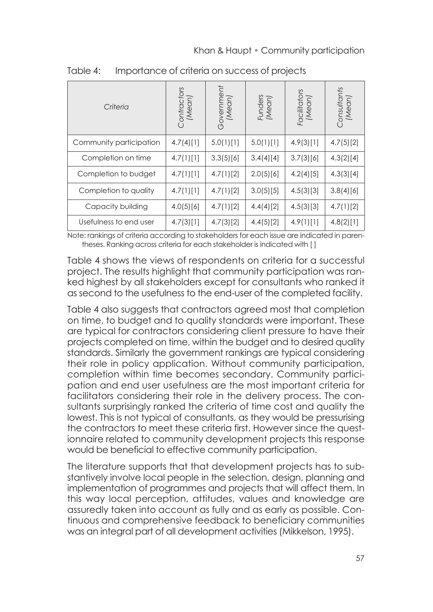| Criteria                | Contractors<br>(Mean) | Government<br>(Mean) | Funders<br>(Mean) | Facilitators<br>(Mean) | Consultants<br>(Mean) |
|-------------------------|-----------------------|----------------------|-------------------|------------------------|-----------------------|
| Community participation | 4.7(4)[1]             | 5.0(1)[1]            | 5.0(1)[1]         | 4.9(3)[1]              | 4.7(5)[2]             |
| Completion on time      | 4.7(1)[1]             | 3.3(5)[6]            | 3.4(4)[4]         | 3.7(3)[6]              | 4.3(2)[4]             |
| Completion to budget    | 4.7(1)[1]             | 4.7(1)[2]            | 2.0(5)[6]         | 4.2(4)[5]              | 4.3(3)[4]             |
| Completion to quality   | 4.7(1)[1]             | 4.7(1)[2]            | 3.0(5)[5]         | 4.5(3)[3]              | 3.8(4)[6]             |
| Capacity building       | 4.0(5)[6]             | 4.7(1)[2]            | 4.4(4)[2]         | 4.5(3)[3]              | 4.7(1)[2]             |
| Usefulness to end user  | 4.7(3)[1]             | 4.7(3)[2]            | 4.4(5)[2]         | 4.9(1)[1]              | 4.8(2)[1]             |

Table 4: Importance of criteria on success of projects

Note: rankings of criteria according to stakeholders for each issue are indicated in parentheses. Ranking across criteria for each stakeholder is indicated with [ ]

Table 4 shows the views of respondents on criteria for a successful project. The results highlight that community participation was ranked highest by all stakeholders except for consultants who ranked it as second to the usefulness to the end-user of the completed facility.

Table 4 also suggests that contractors agreed most that completion on time, to budget and to quality standards were important. These are typical for contractors considering client pressure to have their projects completed on time, within the budget and to desired quality standards. Similarly the government rankings are typical considering their role in policy application. Without community participation, completion within time becomes secondary. Community participation and end user usefulness are the most important criteria for facilitators considering their role in the delivery process. The consultants surprisingly ranked the criteria of time cost and quality the lowest. This is not typical of consultants, as they would be pressurising the contractors to meet these criteria first. However since the questionnaire related to community development projects this response would be beneficial to effective community participation.

The literature supports that that development projects has to substantively involve local people in the selection, design, planning and implementation of programmes and projects that will affect them. In this way local perception, attitudes, values and knowledge are assuredly taken into account as fully and as early as possible. Continuous and comprehensive feedback to beneficiary communities was an integral part of all development activities (Mikkelson, 1995).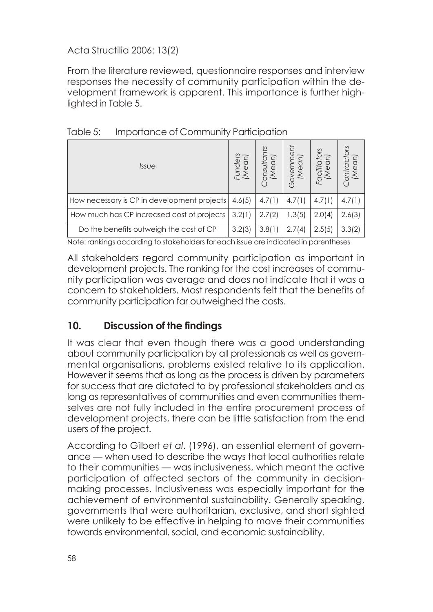From the literature reviewed, questionnaire responses and interview responses the necessity of community participation within the development framework is apparent. This importance is further highlighted in Table 5.

| <i>Issue</i>                                | ders<br>ΕJ | onsultar<br>'Mean) | nment<br>Mean<br>5<br>(Ñ |        |        |
|---------------------------------------------|------------|--------------------|--------------------------|--------|--------|
| How necessary is CP in development projects | 4.6(5)     | 4.7(1)             | 4.7(1)                   | 4.7(1) | 4.7(1) |
| How much has CP increased cost of projects  |            | 2.7(2)             | 1.3(5)                   | 2.0(4) | 2.6(3) |
| Do the benefits outweigh the cost of CP     |            | 3.8(1)             | 2.7(4)                   | 2.5(5) | 3.3(2) |

Note: rankings according to stakeholders for each issue are indicated in parentheses

All stakeholders regard community participation as important in development projects. The ranking for the cost increases of community participation was average and does not indicate that it was a concern to stakeholders. Most respondents felt that the benefits of community participation far outweighed the costs.

### **10. Discussion of the findings**

It was clear that even though there was a good understanding about community participation by all professionals as well as governmental organisations, problems existed relative to its application. However it seems that as long as the process is driven by parameters for success that are dictated to by professional stakeholders and as long as representatives of communities and even communities themselves are not fully included in the entire procurement process of development projects, there can be little satisfaction from the end users of the project.

According to Gilbert *et al*. (1996), an essential element of governance — when used to describe the ways that local authorities relate to their communities — was inclusiveness, which meant the active participation of affected sectors of the community in decisionmaking processes. Inclusiveness was especially important for the achievement of environmental sustainability. Generally speaking, governments that were authoritarian, exclusive, and short sighted were unlikely to be effective in helping to move their communities towards environmental, social, and economic sustainability.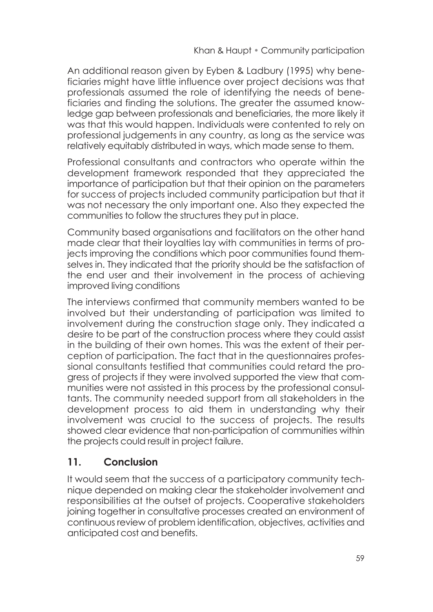An additional reason given by Eyben & Ladbury (1995) why beneficiaries might have little influence over project decisions was that professionals assumed the role of identifying the needs of beneficiaries and finding the solutions. The greater the assumed knowledge gap between professionals and beneficiaries, the more likely it was that this would happen. Individuals were contented to rely on professional judgements in any country, as long as the service was relatively equitably distributed in ways, which made sense to them.

Professional consultants and contractors who operate within the development framework responded that they appreciated the importance of participation but that their opinion on the parameters for success of projects included community participation but that it was not necessary the only important one. Also they expected the communities to follow the structures they put in place.

Community based organisations and facilitators on the other hand made clear that their loyalties lay with communities in terms of projects improving the conditions which poor communities found themselves in. They indicated that the priority should be the satisfaction of the end user and their involvement in the process of achieving improved living conditions

The interviews confirmed that community members wanted to be involved but their understanding of participation was limited to involvement during the construction stage only. They indicated a desire to be part of the construction process where they could assist in the building of their own homes. This was the extent of their perception of participation. The fact that in the questionnaires professional consultants testified that communities could retard the progress of projects if they were involved supported the view that communities were not assisted in this process by the professional consultants. The community needed support from all stakeholders in the development process to aid them in understanding why their involvement was crucial to the success of projects. The results showed clear evidence that non-participation of communities within the projects could result in project failure.

# **11. Conclusion**

It would seem that the success of a participatory community technique depended on making clear the stakeholder involvement and responsibilities at the outset of projects. Cooperative stakeholders joining together in consultative processes created an environment of continuous review of problem identification, objectives, activities and anticipated cost and benefits.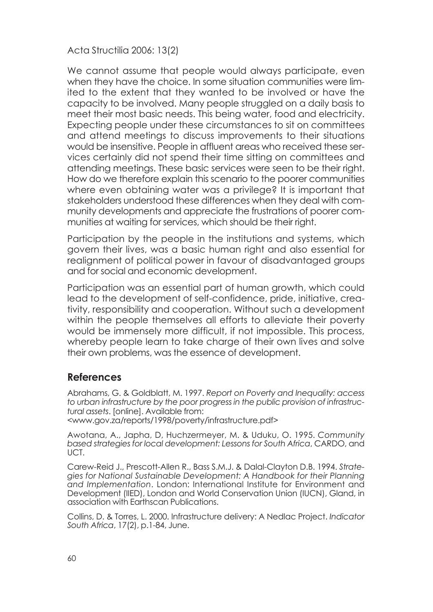We cannot assume that people would always participate, even when they have the choice. In some situation communities were limited to the extent that they wanted to be involved or have the capacity to be involved. Many people struggled on a daily basis to meet their most basic needs. This being water, food and electricity. Expecting people under these circumstances to sit on committees and attend meetings to discuss improvements to their situations would be insensitive. People in affluent areas who received these services certainly did not spend their time sitting on committees and attending meetings. These basic services were seen to be their right. How do we therefore explain this scenario to the poorer communities where even obtaining water was a privilege? It is important that stakeholders understood these differences when they deal with community developments and appreciate the frustrations of poorer communities at waiting for services, which should be their right.

Participation by the people in the institutions and systems, which govern their lives, was a basic human right and also essential for realignment of political power in favour of disadvantaged groups and for social and economic development.

Participation was an essential part of human growth, which could lead to the development of self-confidence, pride, initiative, creativity, responsibility and cooperation. Without such a development within the people themselves all efforts to alleviate their poverty would be immensely more difficult, if not impossible. This process, whereby people learn to take charge of their own lives and solve their own problems, was the essence of development.

#### **References**

Abrahams, G. & Goldblatt, M. 1997. *Report on Poverty and Inequality: access to urban infrastructure by the poor progress in the public provision of infrastructural assets*. [online]. Available from: <www.gov.za/reports/1998/poverty/infrastructure.pdf>

Awotana, A., Japha, D, Huchzermeyer, M. & Uduku, O. 1995. *Community based strategies for local development: Lessons for South Africa*, CARDO, and UCT.

Carew-Reid J., Prescott-Allen R., Bass S.M.J. & Dalal-Clayton D.B. 1994. *Strategies for National Sustainable Development: A Handbook for their Planning and Implementation*. London: International Institute for Environment and Development (IIED), London and World Conservation Union (IUCN), Gland, in association with Earthscan Publications.

Collins, D. & Torres, L. 2000. Infrastructure delivery: A Nedlac Project. *Indicator South Africa*, 17(2), p.1-84, June.